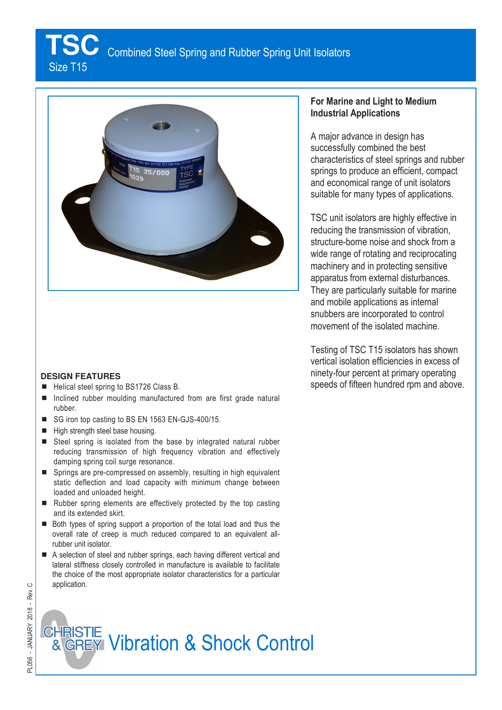**TSC** Combined Steel Spring and Rubber Spring Unit Isolators

Size T15



#### **DESIGN FEATURES**

- Helical steel spring to BS1726 Class B.
- $\blacksquare$  Inclined rubber moulding manufactured from are first grade natural rubber.
- SG iron top casting to BS EN 1563 EN-GJS-400/15.
- $\blacksquare$  High strength steel base housing.
- Steel spring is isolated from the base by integrated natural rubber reducing transmission of high frequency vibration and effectively damping spring coil surge resonance.
- Springs are pre-compressed on assembly, resulting in high equivalent static deflection and load capacity with minimum change between loaded and unloaded height.
- $\blacksquare$  Rubber spring elements are effectively protected by the top casting and its extended skirt.
- Both types of spring support a proportion of the total load and thus the overall rate of creep is much reduced compared to an equivalent allrubber unit isolator.
- A selection of steel and rubber springs, each having different vertical and lateral stiffness closely controlled in manufacture is available to facilitate the choice of the most appropriate isolator characteristics for a particular application.

## **For Marine and Light to Medium Industrial Applications**

A major advance in design has successfully combined the best characteristics of steel springs and rubber springs to produce an efficient, compact and economical range of unit isolators suitable for many types of applications.

TSC unit isolators are highly effective in reducing the transmission of vibration, structure-borne noise and shock from a wide range of rotating and reciprocating machinery and in protecting sensitive apparatus from external disturbances. They are particularly suitable for marine and mobile applications as internal snubbers are incorporated to control movement of the isolated machine.

Testing of TSC T15 isolators has shown vertical isolation efficiencies in excess of ninety-four percent at primary operating speeds of fifteen hundred rpm and above.

# **CHRISTIE**<br>& GREY Vibration & Shock Control